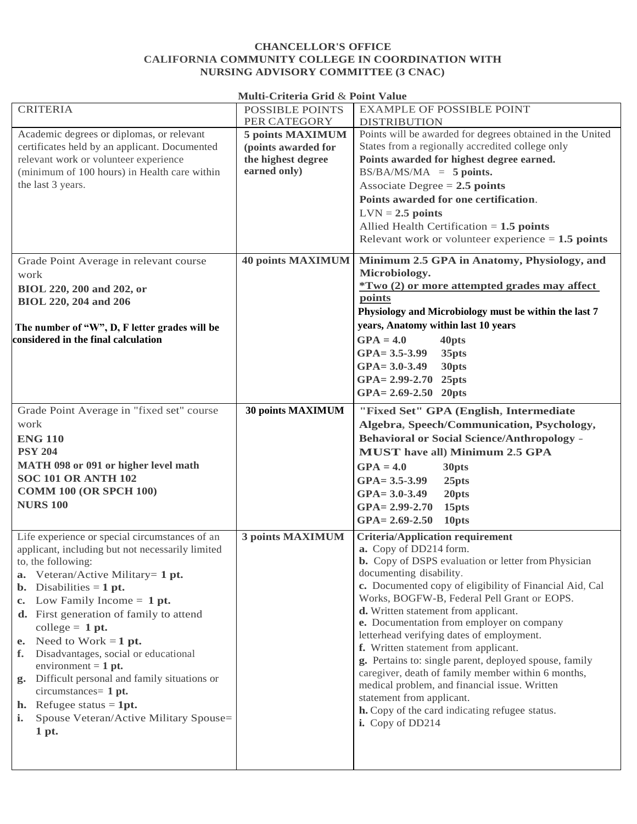## **CHANCELLOR'S OFFICE CALIFORNIA COMMUNITY COLLEGE IN COORDINATION WITH NURSING ADVISORY COMMITTEE (3 CNAC)**

## **Multi-Criteria Grid** & **Point Value**

| <b>CRITERIA</b>                                   | <b>POSSIBLE POINTS</b>   | <b>EXAMPLE OF POSSIBLE POINT</b>                           |
|---------------------------------------------------|--------------------------|------------------------------------------------------------|
|                                                   | PER CATEGORY             | <b>DISTRIBUTION</b>                                        |
| Academic degrees or diplomas, or relevant         | 5 points MAXIMUM         | Points will be awarded for degrees obtained in the United  |
| certificates held by an applicant. Documented     | (points awarded for      | States from a regionally accredited college only           |
| relevant work or volunteer experience             | the highest degree       | Points awarded for highest degree earned.                  |
|                                                   |                          |                                                            |
| (minimum of 100 hours) in Health care within      | earned only)             | $BS/BA/MS/MA = 5 points.$                                  |
| the last 3 years.                                 |                          | Associate Degree $= 2.5$ points                            |
|                                                   |                          | Points awarded for one certification.                      |
|                                                   |                          | $LVN = 2.5$ points                                         |
|                                                   |                          |                                                            |
|                                                   |                          | Allied Health Certification $= 1.5$ points                 |
|                                                   |                          | Relevant work or volunteer experience $= 1.5$ points       |
|                                                   |                          |                                                            |
| Grade Point Average in relevant course            | <b>40 points MAXIMUM</b> | Minimum 2.5 GPA in Anatomy, Physiology, and                |
| work                                              |                          | Microbiology.                                              |
| BIOL 220, 200 and 202, or                         |                          | <i>*Two (2) or more attempted grades may affect</i>        |
|                                                   |                          | points                                                     |
| <b>BIOL 220, 204 and 206</b>                      |                          |                                                            |
|                                                   |                          | Physiology and Microbiology must be within the last 7      |
| The number of "W", D, F letter grades will be     |                          | years, Anatomy within last 10 years                        |
| considered in the final calculation               |                          | $GPA = 4.0$<br>40pts                                       |
|                                                   |                          | $GPA = 3.5 - 3.99$<br>35pts                                |
|                                                   |                          | $GPA = 3.0 - 3.49$<br>30pts                                |
|                                                   |                          |                                                            |
|                                                   |                          | GPA= 2.99-2.70 25pts                                       |
|                                                   |                          | $GPA = 2.69 - 2.50$ 20pts                                  |
| Grade Point Average in "fixed set" course         | 30 points MAXIMUM        | "Fixed Set" GPA (English, Intermediate                     |
|                                                   |                          |                                                            |
| work                                              |                          | Algebra, Speech/Communication, Psychology,                 |
| <b>ENG 110</b>                                    |                          | <b>Behavioral or Social Science/Anthropology -</b>         |
|                                                   |                          |                                                            |
|                                                   |                          |                                                            |
| <b>PSY 204</b>                                    |                          | <b>MUST</b> have all) Minimum 2.5 GPA                      |
| MATH 098 or 091 or higher level math              |                          | $GPA = 4.0$<br>30pts                                       |
| <b>SOC 101 OR ANTH 102</b>                        |                          | $GPA = 3.5 - 3.99$<br>25pts                                |
| <b>COMM 100 (OR SPCH 100)</b>                     |                          | $GPA = 3.0 - 3.49$<br>20pts                                |
| <b>NURS 100</b>                                   |                          |                                                            |
|                                                   |                          | $GPA = 2.99 - 2.70$<br>15 <sub>pts</sub>                   |
|                                                   |                          | $GPA = 2.69 - 2.50$<br>10pts                               |
| Life experience or special circumstances of an    | 3 points MAXIMUM         | <b>Criteria/Application requirement</b>                    |
|                                                   |                          | a. Copy of DD214 form.                                     |
| applicant, including but not necessarily limited  |                          |                                                            |
| to, the following:                                |                          | <b>b.</b> Copy of DSPS evaluation or letter from Physician |
| a. Veteran/Active Military= 1 pt.                 |                          | documenting disability.                                    |
| <b>b.</b> Disabilities = $1$ pt.                  |                          | c. Documented copy of eligibility of Financial Aid, Cal    |
| c. Low Family Income $= 1$ pt.                    |                          | Works, BOGFW-B, Federal Pell Grant or EOPS.                |
| <b>d.</b> First generation of family to attend    |                          | d. Written statement from applicant.                       |
|                                                   |                          | e. Documentation from employer on company                  |
| college $= 1$ pt.                                 |                          | letterhead verifying dates of employment.                  |
| Need to Work = $1$ pt.<br>e.                      |                          | f. Written statement from applicant.                       |
| Disadvantages, social or educational<br>f.        |                          |                                                            |
| environment = $1$ pt.                             |                          | g. Pertains to: single parent, deployed spouse, family     |
| Difficult personal and family situations or<br>g. |                          | caregiver, death of family member within 6 months,         |
| $circumstances = 1 pt.$                           |                          | medical problem, and financial issue. Written              |
|                                                   |                          | statement from applicant.                                  |
| <b>h.</b> Refugee status $= 1pt$ .                |                          | h. Copy of the card indicating refugee status.             |
| Spouse Veteran/Active Military Spouse=<br>i.      |                          | i. Copy of DD214                                           |
| 1 pt.                                             |                          |                                                            |
|                                                   |                          |                                                            |
|                                                   |                          |                                                            |

 $\mathbf{I}$